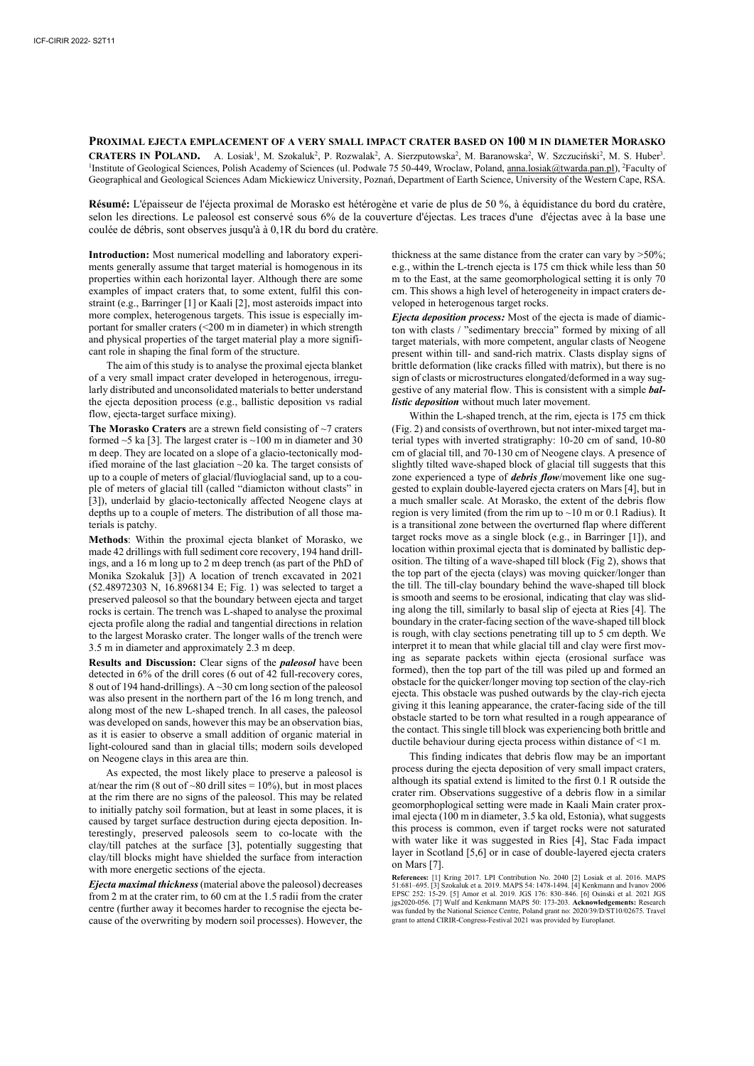**PROXIMAL EJECTA EMPLACEMENT OF A VERY SMALL IMPACT CRATER BASED ON 100 M IN DIAMETER MORASKO CRATERS IN POLAND.** A. Losiak<sup>1</sup>, M. Szokaluk<sup>2</sup>, P. Rozwalak<sup>2</sup>, A. Sierzputowska<sup>2</sup>, M. Baranowska<sup>2</sup>, W. Szczuciński<sup>2</sup>, M. S. Huber<sup>3</sup>.<br><sup>1</sup>Institute of Geological Sciences, Polish Academy of Sciences (ul. Podwale 75.5 Institute of Geological Sciences, Polish Academy of Sciences (ul. Podwale 75 50-449, Wroclaw, Poland, anna.losiak@twarda.pan.pl), <sup>2</sup>Faculty of Geographical and Geological Sciences Adam Mickiewicz University, Poznań, Department of Earth Science, University of the Western Cape, RSA.

**Résumé:** L'épaisseur de l'éjecta proximal de Morasko est hétérogène et varie de plus de 50 %, à équidistance du bord du cratère, selon les directions. Le paleosol est conservé sous 6% de la couverture d'éjectas. Les traces d'une d'éjectas avec à la base une coulée de débris, sont observes jusqu'à à 0,1R du bord du cratère.

**Introduction:** Most numerical modelling and laboratory experiments generally assume that target material is homogenous in its properties within each horizontal layer. Although there are some examples of impact craters that, to some extent, fulfil this constraint (e.g., Barringer [1] or Kaali [2], most asteroids impact into more complex, heterogenous targets. This issue is especially important for smaller craters (<200 m in diameter) in which strength and physical properties of the target material play a more significant role in shaping the final form of the structure.

The aim of this study is to analyse the proximal ejecta blanket of a very small impact crater developed in heterogenous, irregularly distributed and unconsolidated materials to better understand the ejecta deposition process (e.g., ballistic deposition vs radial flow, ejecta-target surface mixing).

**The Morasko Craters** are a strewn field consisting of ~7 craters formed  $\sim$ 5 ka [3]. The largest crater is  $\sim$ 100 m in diameter and 30 m deep. They are located on a slope of a glacio-tectonically modified moraine of the last glaciation ~20 ka. The target consists of up to a couple of meters of glacial/fluvioglacial sand, up to a couple of meters of glacial till (called "diamicton without clasts" in [3]), underlaid by glacio-tectonically affected Neogene clays at depths up to a couple of meters. The distribution of all those materials is patchy.

**Methods**: Within the proximal ejecta blanket of Morasko, we made 42 drillings with full sediment core recovery, 194 hand drillings, and a 16 m long up to 2 m deep trench (as part of the PhD of Monika Szokaluk [3]) A location of trench excavated in 2021 (52.48972303 N, 16.8968134 E; Fig. 1) was selected to target a preserved paleosol so that the boundary between ejecta and target rocks is certain. The trench was L-shaped to analyse the proximal ejecta profile along the radial and tangential directions in relation to the largest Morasko crater. The longer walls of the trench were 3.5 m in diameter and approximately 2.3 m deep.

**Results and Discussion:** Clear signs of the *paleosol* have been detected in 6% of the drill cores (6 out of 42 full-recovery cores, 8 out of 194 hand-drillings).  $A \sim 30$  cm long section of the paleosol was also present in the northern part of the 16 m long trench, and along most of the new L-shaped trench. In all cases, the paleosol was developed on sands, however this may be an observation bias, as it is easier to observe a small addition of organic material in light-coloured sand than in glacial tills; modern soils developed on Neogene clays in this area are thin.

As expected, the most likely place to preserve a paleosol is at/near the rim (8 out of ~80 drill sites =  $10\%$ ), but in most places at the rim there are no signs of the paleosol. This may be related to initially patchy soil formation, but at least in some places, it is caused by target surface destruction during ejecta deposition. Interestingly, preserved paleosols seem to co-locate with the clay/till patches at the surface [3], potentially suggesting that clay/till blocks might have shielded the surface from interaction with more energetic sections of the ejecta.

*Ejecta maximal thickness* (material above the paleosol) decreases from 2 m at the crater rim, to 60 cm at the 1.5 radii from the crater centre (further away it becomes harder to recognise the ejecta because of the overwriting by modern soil processes). However, the

thickness at the same distance from the crater can vary by >50%; e.g., within the L-trench ejecta is 175 cm thick while less than 50 m to the East, at the same geomorphological setting it is only 70 cm. This shows a high level of heterogeneity in impact craters developed in heterogenous target rocks.

*Ejecta deposition process:* Most of the ejecta is made of diamicton with clasts / "sedimentary breccia" formed by mixing of all target materials, with more competent, angular clasts of Neogene present within till- and sand-rich matrix. Clasts display signs of brittle deformation (like cracks filled with matrix), but there is no sign of clasts or microstructures elongated/deformed in a way suggestive of any material flow. This is consistent with a simple *ballistic deposition* without much later movement.

Within the L-shaped trench, at the rim, ejecta is 175 cm thick (Fig. 2) and consists of overthrown, but not inter-mixed target material types with inverted stratigraphy: 10-20 cm of sand, 10-80 cm of glacial till, and 70-130 cm of Neogene clays. A presence of slightly tilted wave-shaped block of glacial till suggests that this zone experienced a type of *debris flow*/movement like one suggested to explain double-layered ejecta craters on Mars [4], but in a much smaller scale. At Morasko, the extent of the debris flow region is very limited (from the rim up to  $\sim$  10 m or 0.1 Radius). It is a transitional zone between the overturned flap where different target rocks move as a single block (e.g., in Barringer [1]), and location within proximal ejecta that is dominated by ballistic deposition. The tilting of a wave-shaped till block (Fig 2), shows that the top part of the ejecta (clays) was moving quicker/longer than the till. The till-clay boundary behind the wave-shaped till block is smooth and seems to be erosional, indicating that clay was sliding along the till, similarly to basal slip of ejecta at Ries [4]. The boundary in the crater-facing section of the wave-shaped till block is rough, with clay sections penetrating till up to 5 cm depth. We interpret it to mean that while glacial till and clay were first moving as separate packets within ejecta (erosional surface was formed), then the top part of the till was piled up and formed an obstacle for the quicker/longer moving top section of the clay-rich ejecta. This obstacle was pushed outwards by the clay-rich ejecta giving it this leaning appearance, the crater-facing side of the till obstacle started to be torn what resulted in a rough appearance of the contact. This single till block was experiencing both brittle and ductile behaviour during ejecta process within distance of <1 m.

This finding indicates that debris flow may be an important process during the ejecta deposition of very small impact craters, although its spatial extend is limited to the first 0.1 R outside the crater rim. Observations suggestive of a debris flow in a similar geomorphoplogical setting were made in Kaali Main crater proximal ejecta (100 m in diameter, 3.5 ka old, Estonia), what suggests this process is common, even if target rocks were not saturated with water like it was suggested in Ries [4], Stac Fada impact layer in Scotland [5,6] or in case of double-layered ejecta craters on Mars [7].

**References:** [1] Kring 2017. LPI Contribution No. 2040 [2] Losiak et al. 2016. MAPS 51:681–695. [3] Szokaluk et a. 2019. MAPS 54: 1478-1494. [4] Kenkmann and Ivanov 2006 EPSC 252: 15-29. [5] Amor et al. 2019. JGS 176: 830–846. [6] Osinski et al. 2021 JGS jgs2020-056. [7] Wulf and Kenkmann MAPS 50: 173-203. **Acknowledgements:** Research was funded by the National Science Centre, Poland grant no: 2020/39/D/ST10/02675. Travel grant to attend CIRIR-Congress-Festival 2021 was provided by Europlanet.